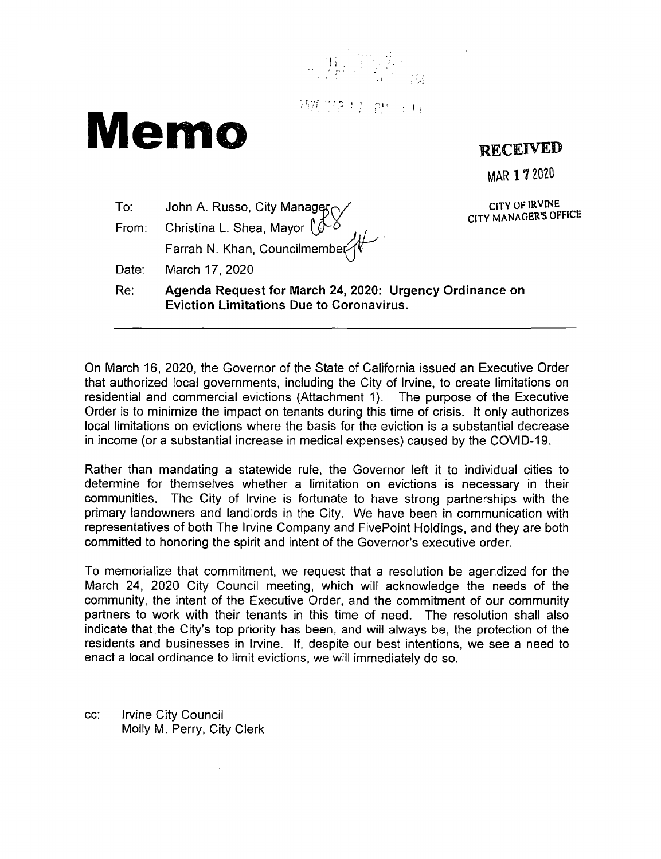

独独家乡 经一种一份 前

# **Memo**

 $T_{\Omega}$ 

# **RECEIVED**

MAR 172020

**CITY Of IRVINE CITY MANAGER'S OFFICE** 

|  | From: Christina L. Shea, Mayor $\sqrt{\frac{1}{2}}$<br>Farrah N. Khan, Councilmember |  |
|--|--------------------------------------------------------------------------------------|--|
|  |                                                                                      |  |
|  | Date: March 17, 2020                                                                 |  |
|  |                                                                                      |  |

John A. Russo, City Managers /

**Re: Agenda Request for March 24, 2020: Urgency Ordinance on Eviction Limitations Due to Coronavirus.** 

On March 16, 2020, the Governor of the State of California issued an Executive Order that authorized local governments, including the City of Irvine, to create limitations on residential and commercial evictions (Attachment 1). The purpose of the Executive Order is to minimize the impact on tenants during this time of crisis. It only authorizes local limitations on evictions where the basis for the eviction is a substantial decrease in income (or a substantial increase in medical expenses) caused by the COVID-19.

Rather than mandating a statewide rule, the Governor left it to individual cities to determine for themselves whether a limitation on evictions is necessary in their communities. The City of Irvine is fortunate to have strong partnerships with the primary landowners and landlords in the City. We have been in communication with representatives of both The Irvine Company and FivePoint Holdings, and they are both committed to honoring the spirit and intent of the Governor's executive order.

To memorialize that commitment, we request that a resolution be agendized for the March 24, 2020 City Council meeting, which will acknowledge the needs of the community, the intent of the Executive Order, and the commitment of our community partners to work with their tenants in this time of need. The resolution shall also indicate that.the City's top priority has been, and will always be, the protection of the residents and businesses in Irvine. If, despite our best intentions, we see a need to enact a local ordinance to limit evictions, we will immediately do so.

cc: Irvine City Council Molly M. Perry, City Clerk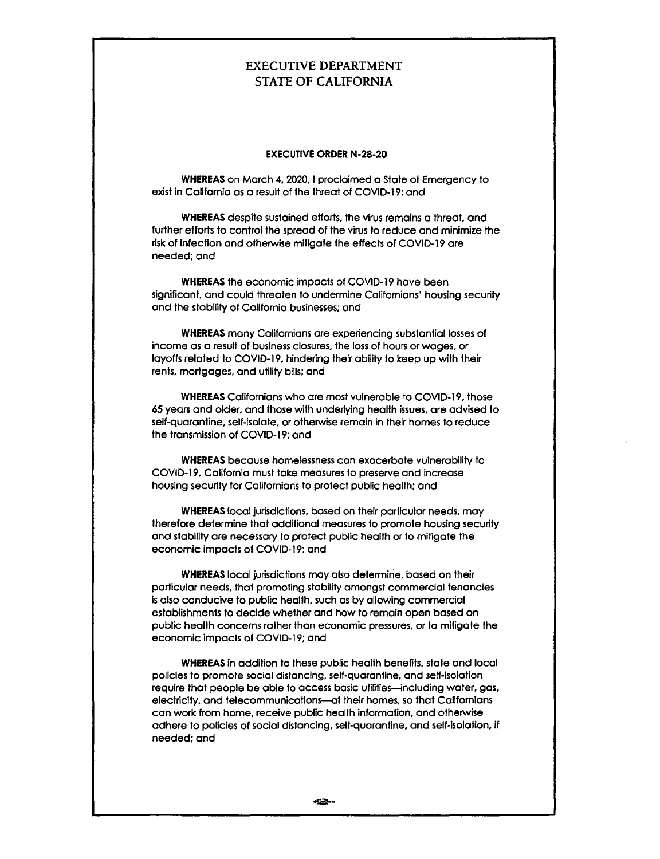## EXECUTIVE DEPARTMENT STATE OF CALIFORNIA

#### **EXECUTIVE ORDER N-28-20**

**WHEREAS** on Morch 4, 2020, I proclaimed a State of Emergency to exist in California as a result of the threat of COVID-19; and

**WHEREAS** despite sustained efforts. the virus remains o threat, and further efforts to control the spread of the virus to reduce and minimize the risk of infection and otherwise mitigate the effects of COVID-19 are needed; and

**WHEREAS** the economic impacts of COVID-19 hove been significant, and could threaten to undermine Californians' housing security and the stability of California businesses; and

**WHEREAS** many Californians ore experiencing substantial losses of income as a result of business closures, the loss of hours or wages, or layoffs related to COVID-19, hindering their ability to keep up with their rents, mortgages, and utility bills; and

**WHEREAS** Californians who ore most vulnerable to COVID-19, those 65 years and older, and those with underlying health issues. are advised to self-quarantine, self-isolate, or otherwise remain in their homes to reduce the transmission of COVID-19; and

**WHEREAS** because homelessness can exacerbate vulnerability to COVID-19, Collfornla must toke measures to preserve and Increase housing security for Californians to protect public health: and

**WHEREAS** local jurisdictions, based on their partlcular needs, may therefore determine that additional measures to promote housing security and stability ore necessary to protect public health or to mitigate the economic impacts of COVID-19: and

**WHEREAS** local jurisdictions may also determine, based on their particular needs, that promoting stability amongst commercial tenancies Is also conducive to public health, such as by allowing commercial establishments to decide whether and how to remain open based on public health concerns rather than economic pressures. or to mitigate the economic impacts of COVID-19; and

**WHEREAS** In addition to these public health benefits, state and local policies to promote social distancing, self-quarantine, and self-isolation require that people be able to access basic utilities-including water, gas, electricity, and telecommunications-at their homes, so that Californians can work from home, receive public health information, and otherwise adhere to policies of social distancing, self-quarantine, and self-isolation, if needed: and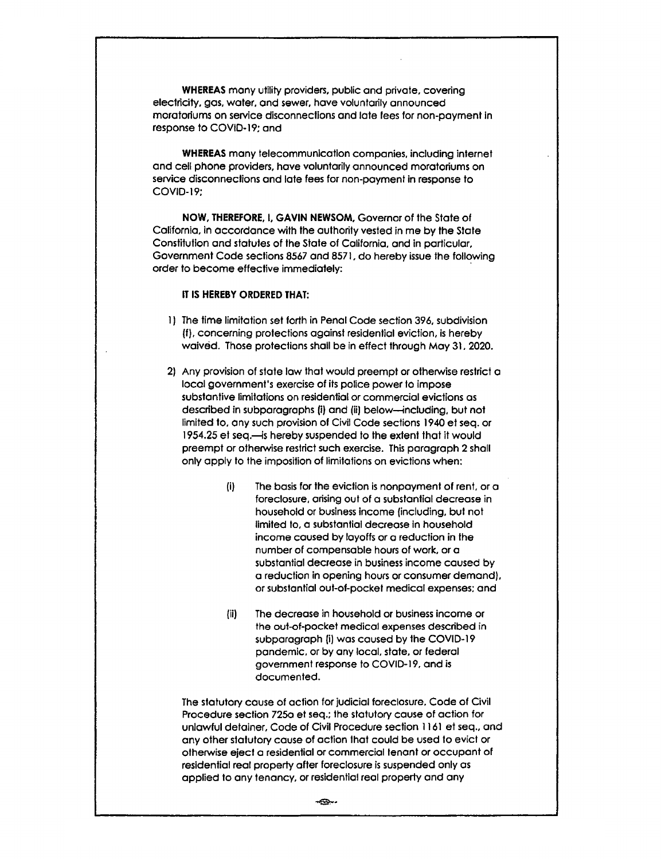**WHEREAS** many utility providers, public and private, covering electricity, gos, water, and sewer, have voluntarily announced moratoriums on service disconnections and late fees for non-payment in response to COVID-19; and

**WHEREAS** many telecommunication companies, including internet and cell phone providers, hove voluntarily announced moratoriums on service disconnections and late fees for non-payment in response to COVID-19:

**NOW, THEREFORE,** I, **GAVIN NEWSOM,** Governor of the State of California, in accordance with the authority vested in me by the Stole Constitution and statutes of the State of California. and in particular, Government Code sections 8567 and 8571, do hereby issue the following order to become effective immediately:

#### IT **IS HEREBY ORDERED THAT:**

- 1) The time limitation set forth in Penal Code section 396, subdivision (f), concerning protections against residential eviction, is hereby waived. Those protections shall be in effect through Moy 31, 2020.
- 2) Any provision of state low that would preempt or otherwise restrict a local government's exercise of its police power to impose substantive limitations on residential or commercial evictions as described in subparagraphs (i) and (ii) below-including, but not limited to. any such provision of Civil Code sections 1940 et seq. or 1954.25 et seq.-is hereby suspended to the extent that it would preempt or otherwise restrict such exercise. This paragraph 2 shall only apply to the imposition of limitations on evictions when:
	- (i) The basis for the eviction Is nonpayment of rent, or a foreclosure, arising out of a substantial decrease in household or business Income {including, but not limited to, a substantial decrease in household income caused by layoffs or a reduction in the number of compensable hours of work, or a substantial decrease in business income caused by a reduction in opening hours or consumer demand). or substantial out-of-pocket medical expenses: and
	- (ii) The decrease in household or business income or the out-of-pocket medical expenses described in subparagraph (i) was caused by the COVID-19 pandemic, or by any local, state, or federal government response to COVID-19, and is documented.

The statutory cause of action for judicial foreclosure. Code of Civil Procedure section 7250 et seq.; the statutory cause of action for unlawful detainer, Code of Civil Procedure section 1161 et seq., and any other statutory cause of action that could be used to evict or otherwise eject a residential or commercial tenant or occupant of residential real property ofter foreclosure is suspended only as applied to any tenancy, or residential real property and any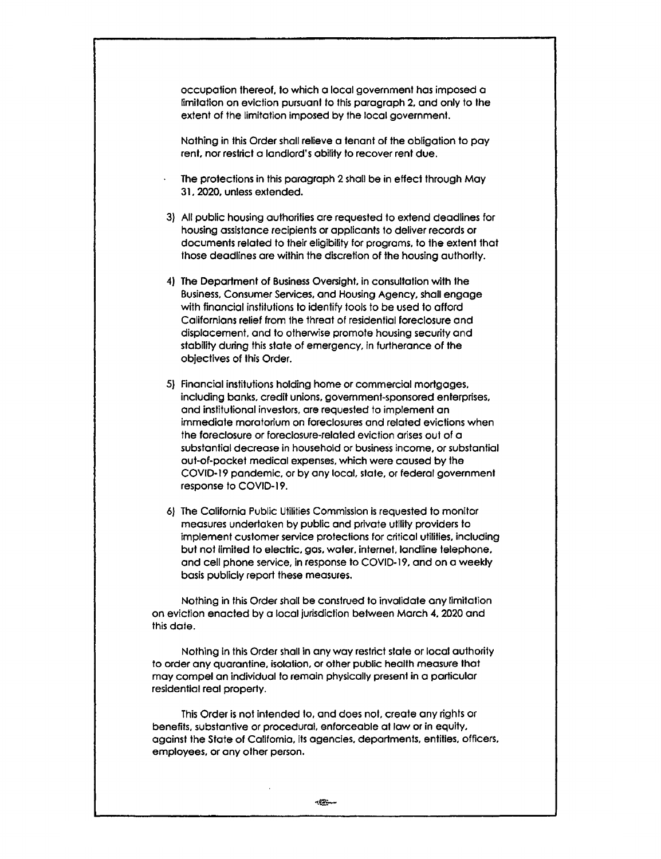occupation thereof, lo which a local government hos imposed a limitation on eviction pursuant to this paragraph 2, and only to the extent of the limitation imposed by the local government.

Nothing in this Order shall relieve a tenant of the obligation to pay rent. nor restrict a landlord's ability to recover rent due.

- The protections in this paragraph 2 shall be in effect through May 31, 2020, unless extended.
- 3) All public housing authorities are requested to extend deadlines for housing assistance recipients or applicants to deliver records or documents related to their eligibility for programs, to the extent that those deadlines are within the discretion of the housing authority.
- 4) The Department of Business Oversight, in consultation with the Business. Consumer Services, and Housing Agency, shall engage with financial institutions to identify tools to be used to afford Californlons relief from the threat of residential foreclosure and displacement, and to otherwise promote housing security and stability during this state of emergency, in furtherance of the objectives of this Order.
- 5} Financial institutions holding home or commercial mortgages. including banks, credit unions, government-sponsored enterprises, and institutional investors, are requested to implement an immediate moratorium on foreclosures and related evictions when the foreclosure or foreclosure-related eviction arises out of a substantial decrease in household or business income, or substantial out-of-pocket medical expenses, which were caused by the COVID-19 pandemic, or by any local, state. or federal government response to COVID-19.
- 6) The California Public Utilities Commission is requested to monitor measures undertaken by public and private utility providers to implement customer service protections for critical utilities, including but not limited to electric. gas. water. internet, londline telephone, and cell phone service, in response to COVID-19, and on a weekly basis publicly report these measures.

Nothing in this Order shall be construed to invalidate any limitation on eviction enacted by a local jurisdiction between March **4,** 2020 and this dote.

**Nothing In this Order shall in any way restrict state or local authority to order any quarantine. isolation, or other public health measure that may compel an individual to remain physically present in a particular residential real property.** 

This **Order is not intended to, and does not. create any rights or benefits. substantive or procedural, enforceable at low or in equity, against the State of Catifomia, Its agencies. deportments, entitles. officers. employees. or any other person.**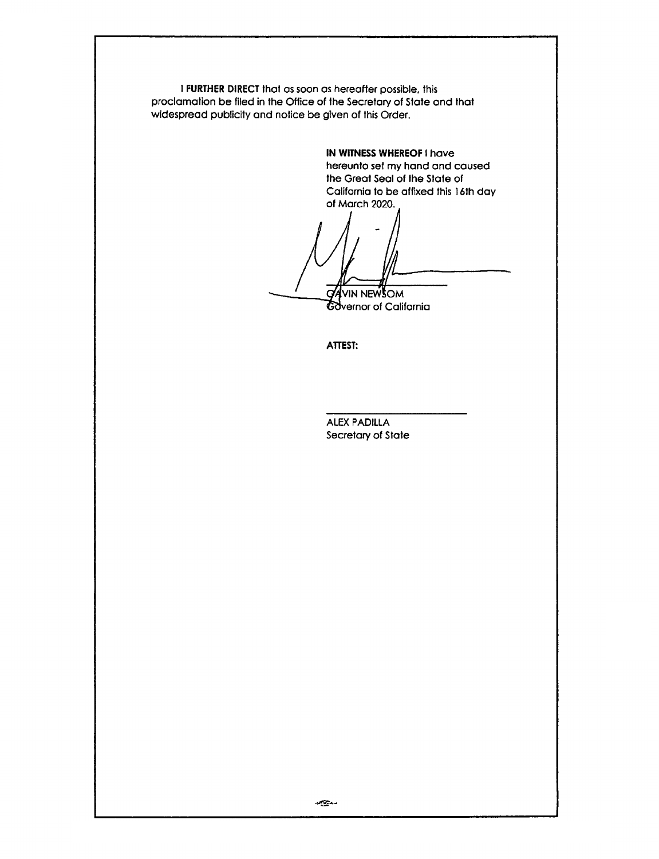I **FURTHER DIRECT** lhol as soon as hereafter possible, this proclamation be flied in the Office of the Secretary of State and that widespread publicity and notice be given of this Order.

> **IN WITNESS WHEREOF** I hove hereunto sel my hand and caused the Great Seal of the Slate of California to be affixed this 16th day of March 2020.

YVIN NEWSOM G Covernor of California

**ATTEST:** 

ALEX PADILLA Secretary of State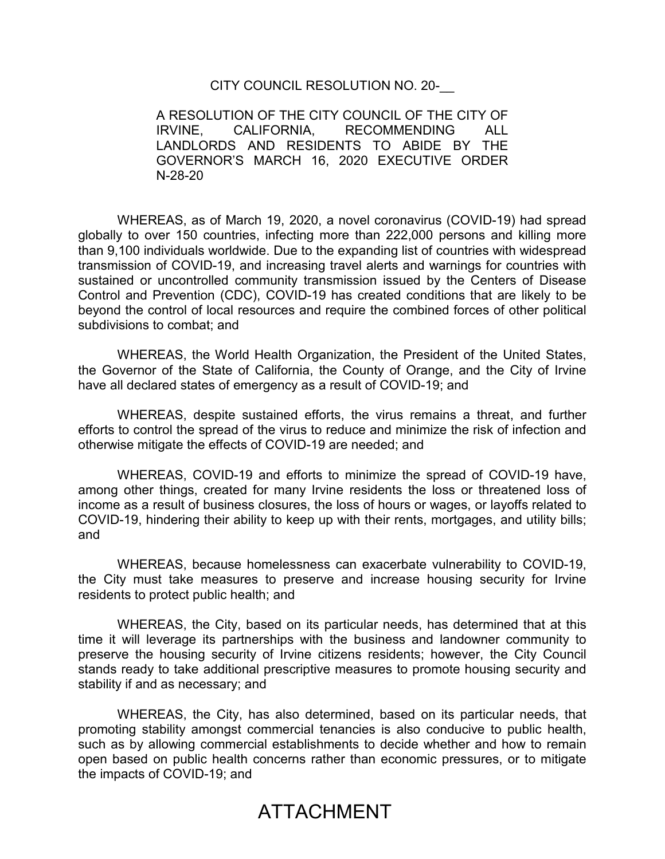## CITY COUNCIL RESOLUTION NO. 20-\_\_

A RESOLUTION OF THE CITY COUNCIL OF THE CITY OF IRVINE, CALIFORNIA, RECOMMENDING ALL LANDLORDS AND RESIDENTS TO ABIDE BY THE GOVERNOR'S MARCH 16, 2020 EXECUTIVE ORDER N-28-20

WHEREAS, as of March 19, 2020, a novel coronavirus (COVID-19) had spread globally to over 150 countries, infecting more than 222,000 persons and killing more than 9,100 individuals worldwide. Due to the expanding list of countries with widespread transmission of COVID-19, and increasing travel alerts and warnings for countries with sustained or uncontrolled community transmission issued by the Centers of Disease Control and Prevention (CDC), COVID-19 has created conditions that are likely to be beyond the control of local resources and require the combined forces of other political subdivisions to combat; and

WHEREAS, the World Health Organization, the President of the United States, the Governor of the State of California, the County of Orange, and the City of Irvine have all declared states of emergency as a result of COVID-19; and

WHEREAS, despite sustained efforts, the virus remains a threat, and further efforts to control the spread of the virus to reduce and minimize the risk of infection and otherwise mitigate the effects of COVID-19 are needed; and

WHEREAS, COVID-19 and efforts to minimize the spread of COVID-19 have, among other things, created for many Irvine residents the loss or threatened loss of income as a result of business closures, the loss of hours or wages, or layoffs related to COVID-19, hindering their ability to keep up with their rents, mortgages, and utility bills; and

WHEREAS, because homelessness can exacerbate vulnerability to COVID-19, the City must take measures to preserve and increase housing security for Irvine residents to protect public health; and

WHEREAS, the City, based on its particular needs, has determined that at this time it will leverage its partnerships with the business and landowner community to preserve the housing security of Irvine citizens residents; however, the City Council stands ready to take additional prescriptive measures to promote housing security and stability if and as necessary; and

WHEREAS, the City, has also determined, based on its particular needs, that promoting stability amongst commercial tenancies is also conducive to public health, such as by allowing commercial establishments to decide whether and how to remain open based on public health concerns rather than economic pressures, or to mitigate the impacts of COVID-19; and

# ATTACHMENT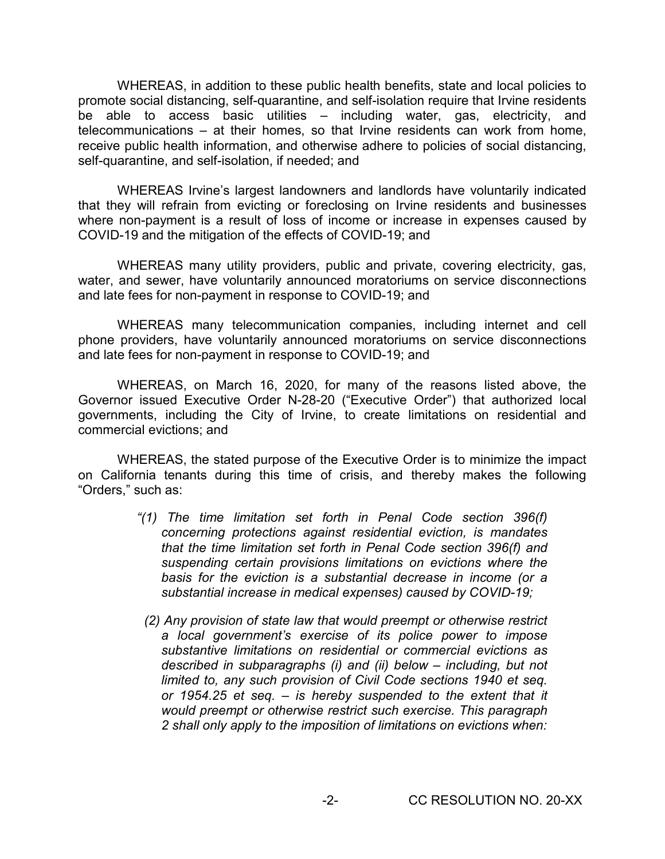WHEREAS, in addition to these public health benefits, state and local policies to promote social distancing, self-quarantine, and self-isolation require that Irvine residents be able to access basic utilities – including water, gas, electricity, and telecommunications – at their homes, so that Irvine residents can work from home, receive public health information, and otherwise adhere to policies of social distancing, self-quarantine, and self-isolation, if needed; and

WHEREAS Irvine's largest landowners and landlords have voluntarily indicated that they will refrain from evicting or foreclosing on Irvine residents and businesses where non-payment is a result of loss of income or increase in expenses caused by COVID-19 and the mitigation of the effects of COVID-19; and

WHEREAS many utility providers, public and private, covering electricity, gas, water, and sewer, have voluntarily announced moratoriums on service disconnections and late fees for non-payment in response to COVID-19; and

WHEREAS many telecommunication companies, including internet and cell phone providers, have voluntarily announced moratoriums on service disconnections and late fees for non-payment in response to COVID-19; and

WHEREAS, on March 16, 2020, for many of the reasons listed above, the Governor issued Executive Order N-28-20 ("Executive Order") that authorized local governments, including the City of Irvine, to create limitations on residential and commercial evictions; and

WHEREAS, the stated purpose of the Executive Order is to minimize the impact on California tenants during this time of crisis, and thereby makes the following "Orders," such as:

- *"(1) The time limitation set forth in Penal Code section 396(f) concerning protections against residential eviction, is mandates that the time limitation set forth in Penal Code section 396(f) and suspending certain provisions limitations on evictions where the basis for the eviction is a substantial decrease in income (or a substantial increase in medical expenses) caused by COVID-19;*
	- *(2) Any provision of state law that would preempt or otherwise restrict a local government's exercise of its police power to impose substantive limitations on residential or commercial evictions as described in subparagraphs (i) and (ii) below – including, but not limited to, any such provision of Civil Code sections 1940 et seq. or 1954.25 et seq. – is hereby suspended to the extent that it would preempt or otherwise restrict such exercise. This paragraph 2 shall only apply to the imposition of limitations on evictions when:*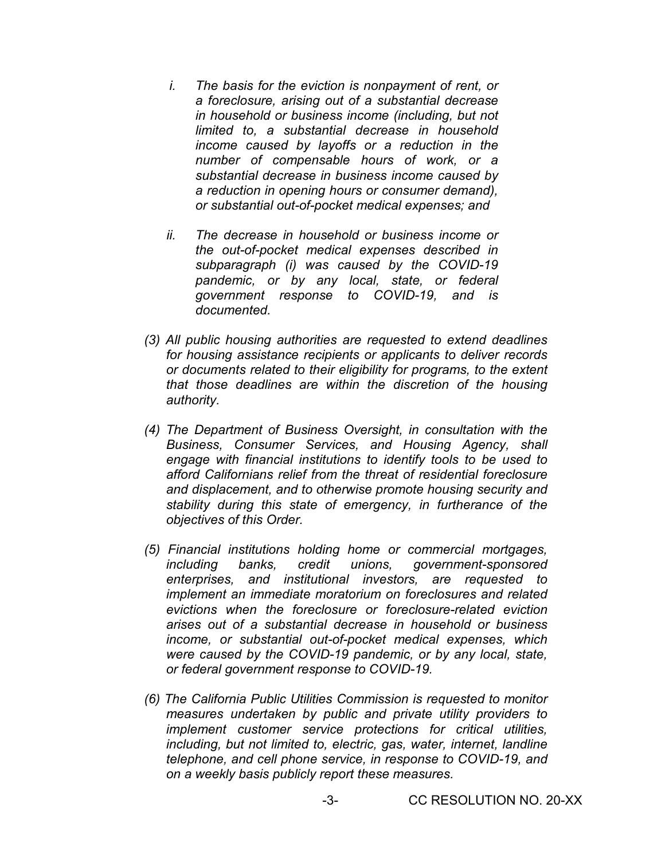- *i. The basis for the eviction is nonpayment of rent, or a foreclosure, arising out of a substantial decrease in household or business income (including, but not limited to, a substantial decrease in household income caused by layoffs or a reduction in the number of compensable hours of work, or a substantial decrease in business income caused by a reduction in opening hours or consumer demand), or substantial out-of-pocket medical expenses; and*
- *ii. The decrease in household or business income or the out-of-pocket medical expenses described in subparagraph (i) was caused by the COVID-19 pandemic, or by any local, state, or federal government response to COVID-19, and is documented.*
- *(3) All public housing authorities are requested to extend deadlines for housing assistance recipients or applicants to deliver records or documents related to their eligibility for programs, to the extent that those deadlines are within the discretion of the housing authority.*
- *(4) The Department of Business Oversight, in consultation with the Business, Consumer Services, and Housing Agency, shall engage with financial institutions to identify tools to be used to afford Californians relief from the threat of residential foreclosure and displacement, and to otherwise promote housing security and stability during this state of emergency, in furtherance of the objectives of this Order.*
- *(5) Financial institutions holding home or commercial mortgages, including banks, credit unions, government-sponsored enterprises, and institutional investors, are requested to implement an immediate moratorium on foreclosures and related evictions when the foreclosure or foreclosure-related eviction arises out of a substantial decrease in household or business income, or substantial out-of-pocket medical expenses, which were caused by the COVID-19 pandemic, or by any local, state, or federal government response to COVID-19.*
- *(6) The California Public Utilities Commission is requested to monitor measures undertaken by public and private utility providers to implement customer service protections for critical utilities, including, but not limited to, electric, gas, water, internet, landline telephone, and cell phone service, in response to COVID-19, and on a weekly basis publicly report these measures.*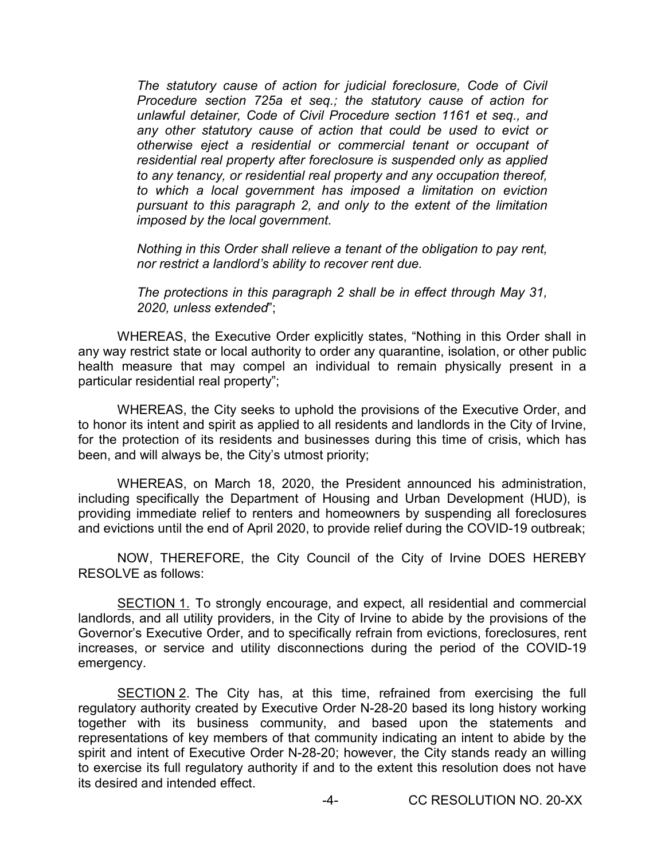*The statutory cause of action for judicial foreclosure, Code of Civil Procedure section 725a et seq.; the statutory cause of action for unlawful detainer, Code of Civil Procedure section 1161 et seq., and any other statutory cause of action that could be used to evict or otherwise eject a residential or commercial tenant or occupant of residential real property after foreclosure is suspended only as applied to any tenancy, or residential real property and any occupation thereof, to which a local government has imposed a limitation on eviction pursuant to this paragraph 2, and only to the extent of the limitation imposed by the local government.* 

*Nothing in this Order shall relieve a tenant of the obligation to pay rent, nor restrict a landlord's ability to recover rent due.* 

*The protections in this paragraph 2 shall be in effect through May 31, 2020, unless extended*";

WHEREAS, the Executive Order explicitly states, "Nothing in this Order shall in any way restrict state or local authority to order any quarantine, isolation, or other public health measure that may compel an individual to remain physically present in a particular residential real property";

WHEREAS, the City seeks to uphold the provisions of the Executive Order, and to honor its intent and spirit as applied to all residents and landlords in the City of Irvine, for the protection of its residents and businesses during this time of crisis, which has been, and will always be, the City's utmost priority;

WHEREAS, on March 18, 2020, the President announced his administration, including specifically the Department of Housing and Urban Development (HUD), is providing immediate relief to renters and homeowners by suspending all foreclosures and evictions until the end of April 2020, to provide relief during the COVID-19 outbreak;

NOW, THEREFORE, the City Council of the City of Irvine DOES HEREBY RESOLVE as follows:

SECTION 1. To strongly encourage, and expect, all residential and commercial landlords, and all utility providers, in the City of Irvine to abide by the provisions of the Governor's Executive Order, and to specifically refrain from evictions, foreclosures, rent increases, or service and utility disconnections during the period of the COVID-19 emergency.

SECTION 2. The City has, at this time, refrained from exercising the full regulatory authority created by Executive Order N-28-20 based its long history working together with its business community, and based upon the statements and representations of key members of that community indicating an intent to abide by the spirit and intent of Executive Order N-28-20; however, the City stands ready an willing to exercise its full regulatory authority if and to the extent this resolution does not have its desired and intended effect.